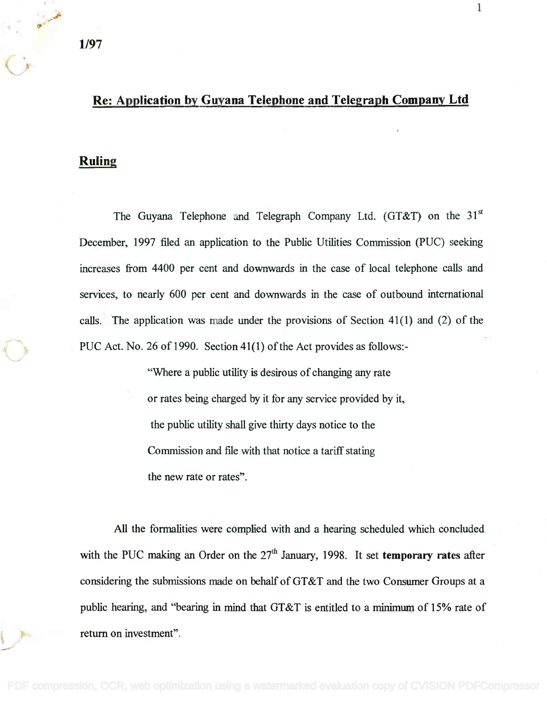## Re: Application by Guyana Telephone and Telegraph Company Ltd **Re: Application by Guyana Telephone and Telegraph Company Ltd**

1

## Ruling **Ruling**

The Guyana Telephone and Telegraph Company Ltd. (GT&T) on the  $31<sup>st</sup>$ December, 1997 filed an application to the Public Utilities Commission (PUC) seeking increases from 4400 per cent and downwards in the case of local telephone calls and services, to nearly 600 per cent and downwards in the case of outbound international calls. The application was made under the provisions of Section 41(1) and (2) of the PUC Act. No. 26 of 1990. Section 41(1) of the Act provides as follows:-

> "Where a public utility is desirous of changing any rate or rates being charged by it for any service provided by it, the public utility shall give thirty days notice to the Commission and file with that notice a tariff stating the new rate or rates".

All the formalities were complied with and a hearing scheduled which concluded with the PUC making an Order on the 27<sup>th</sup> January, 1998. It set **temporary rates** after considering the submissions made on behalf of GT&T and the two Consumer Groups at a public hearing, and "bearing in mind that GT&T is entitled to a minimum of 15% rate of return on investment".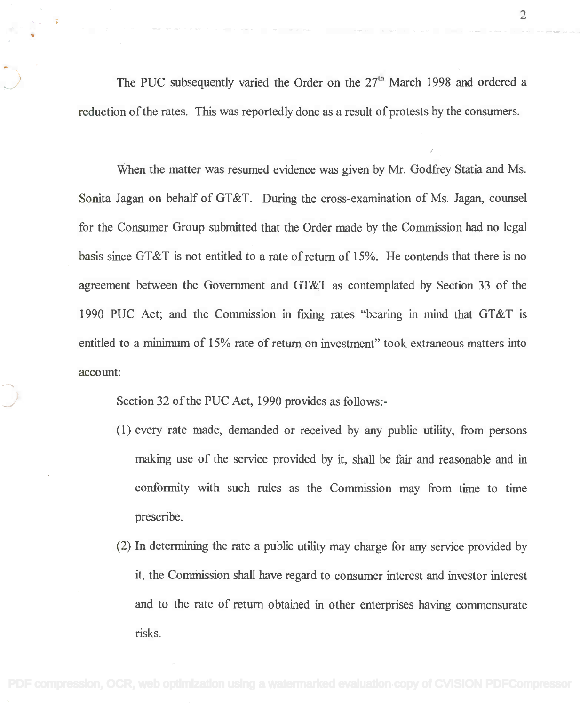The PUC subsequently varied the Order on the  $27<sup>th</sup>$  March 1998 and ordered a reduction of the rates. This was reportedly done as a result of protests by the consumers. reduction of the rates. This was reportedly done as a result of protests by the consumers.

When the matter was resumed evidence was given by Mr. Godfrey Statia and Ms. When the matter was resumed evidence was given by Mr. Godfrey Statia and Ms. Sonita Jagan on behalf of GT&T. During the cross-examination of Ms. Jagan, counsel for the Consumer Group submitted that the Order made by the Commission had no legal for the Consumer Group submitted that the Order made by the Commission had no legal basis since GT&T is not entitled to a rate of return of 15%. He contends that there is no basis since GT&T is not entitled to a rate of return of 15%. He contends that there is no agreement between the Government and GT&T as contemplated by Section 33 of the agreement between the Government and GT&T as contemplated by Section 33 of the 1990 PUC Act; and the Commission in fixing rates "bearing in mind that GT&T is 1990 PUC Act; and the Commission in fixing rates "bearing in mind that GT&T is entitled to a minimum of 15% rate of return on investment" took extraneous matters into account:

Section 32 of the PUC Act, 1990 provides as follows:- Section 32 of the PUC Act, 1990 provides as follows:-

- (1) every rate made, demanded or received by any public utility, from persons (1) every rate made, demanded or received by any public utility, from persons making use of the service provided by it, shall be fair and reasonable and in making use of the service provided by it, shall be fair and reasonable and in conformity with such rules as the Commission may from time to time conformity with such rules as the Commission may from time to time prescribe. prescribe.
- (2) In determining the rate a public utility may charge for any service provided by (2) In determining the rate a public utility may charge for any service provided by it, the Commission shall have regard to consumer interest and investor interest and to the rate of return obtained in other enterprises having commensurate and to the rate of return obtained in other enterprises having commensurate risks. risks.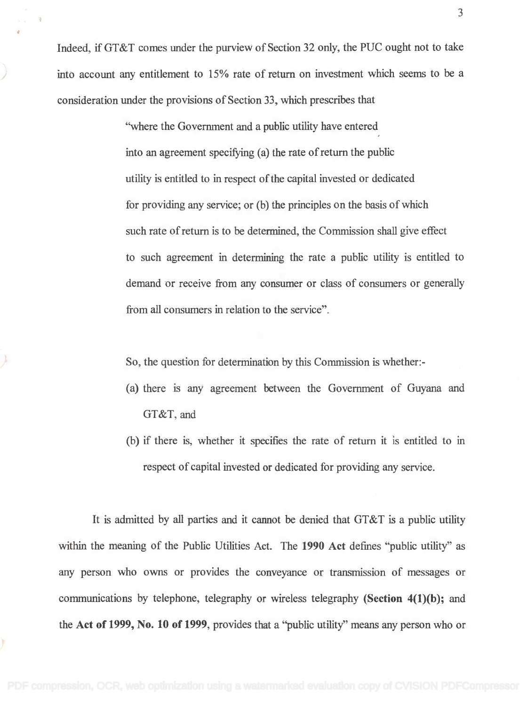Indeed, if GT&T comes under the purview of Section 32 only, the PUC ought not to take Indeed, if GT&T comes under the purview of Section 32 only, the PUC ought not to take into account any entitlement to 15% rate of return on investment which seems to be a into account any entitlement to 15% rate of return on investment which seems to be a consideration under the provisions of Section 33, which prescribes that

> "where the Government and a public utility have entered "where the Government and a public utility have entered into an agreement specifying (a) the rate of return the public into an agreement specifYing (a) the rate of return the public utility is entitled to in respect of the capital invested or dedicated utility is entitled to in respect of the capital invested or dedicated for providing any service; or (b) the principles on the basis of which for providing any service; or (b) the principles on the basis of which such rate of return is to be determined, the Commission shall give effect such rate of return is to be determined, the Commission shall give effect to such agreement in determining the rate a. public utility is entitled to to such agreement in determining the rate a public utility is entitled to demand or receive from any consumer or class of consumers or generally demand or receive from any consumer or class of consumers or generally from all consumers in relation to the service". from all consumers in relation to the service".

So, the question for determination by this Commission is whether: - So, the question for determination by this Commission is whether:-

- (a) there is any agreement between the Government of Guyana and (a) there is any agreement between the Government of Guyana and GT&T, and GT&T, and
- (b) if there is, whether it specifies the rate of return it is entitled to in (b) if there is, whether it specifies the rate of return it is entitled to in respect of capital invested or dedicated for providing any service. respect of capital invested or dedicated for providing any service.

It is admitted by all parties and it cannot be denied that GT&T is a public utility It is admitted by all parties and it cannot be denied that GT&T is a public utility within the meaning of the Public Utilities Act. The 1990 Act defines "public utility" as within the meaning of the Public Utilities Act. The **1990 Act** defines "public utility" as any person who owns or provides the conveyance or transmission of messages or any person who owns or provides the conveyance or transmission of messages or communications by telephone, telegraphy or wireless telegraphy (Section 4(1)(b); and communications by telephone, telegraphy or wireless telegraphy **(Section 4(1)(b);** and the Act of 1999, No. 10 of 1999, provides that a "public utility" means any person who or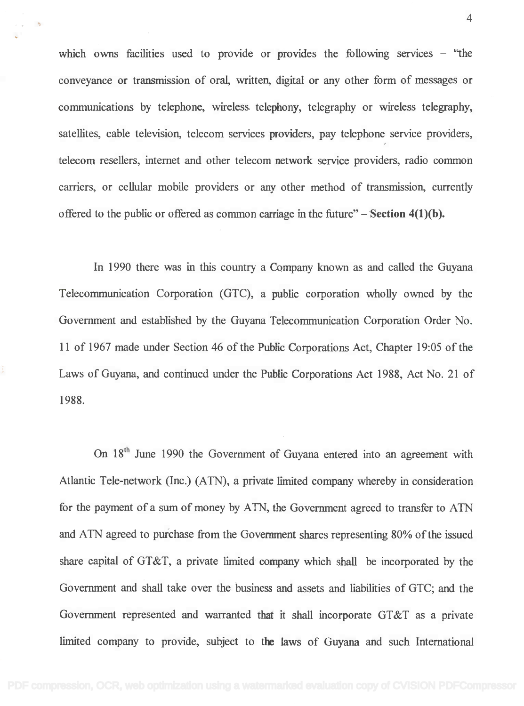which owns facilities used to provide or provides the following services – "the conveyance or transmission of oral, written, digital or any other form of messages or conveyance or transmission of oral, written, digital or any other form of messages or communications by telephone, wireless telephony, telegraphy or wireless telegraphy, communications by telephone, wireless telephony, telegraphy or wireless telegraphy, satellites, cable television, telecom services providers, pay telephone service providers, satellites, cable television, telecom services providers, pay telephone service providers, telecom resellers, internet and other telecom network service providers, radio common telecom resellers, internet and other telecom network service providers, radio common carriers, or cellular mobile providers or any other method of transmission, currently carriers, or cellular mobile providers or any other method of transmission, currently offered to the public or offered as common carriage in the future"  $-$  Section 4(1)(b).

In 1990 there was in this country a Company known as and called the Guyana In 1990 there was in this country a Company known as and called the Guyana Telecommunication Corporation (GTC), a public corporation wholly owned by the Telecommunication Corporation (GTC), a public corporation wholly owned by the Government and established by the Guyana Telecommunication Corporation Order No. Government and established by the Guyana Telecommunication Corporation Order No. 11 of 1967 made under Section 46 of the Public Corporations Act, Chapter 19:05 of the 11 of 1967 made under Section 46 of the PublicCorporations Act, Chapter 19:05 of the Laws of Guyana, and continued under the Public Corporations Act 1988, Act No. 21 of 1988. 1988.

On 18<sup>th</sup> June 1990 the Government of Guyana entered into an agreement with Atlantic Tele-network (Inc.) (ATN), a private limited company whereby in consideration Atlantic Tele-network (Inc.) (ATN), a private limited company whereby in consideration for the payment of a sum of money by ATN, the Government agreed to transfer to ATN and ATN agreed to purchase from the Government shares representing 80% of the issued share capital of GT&T, a private limited company which shall be incorporated by the share capital of GT&T, a private limited company which shall be incorporated by the Government and shall take over the business and assets and liabilities of GTC; and the Government and shall take over the business and assets and liabilities of GTC; and the Government represented and warranted that it shall incorporate GT&T as a private Government represented and warranted that it shall incorporate GT&T as a private limited company to provide, subject to the laws of Guyana and such International limited company to provide, subject to the laws of Guyana and such International

4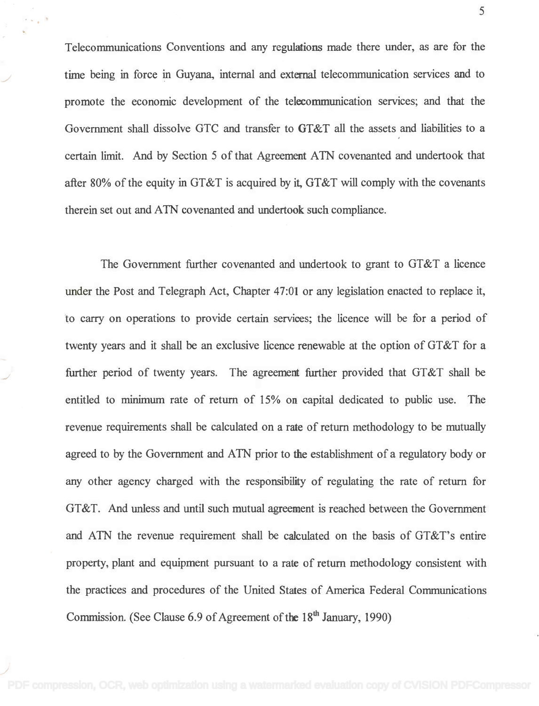Telecommunications Conventions and any regulations made there under, as are for the Telecommunications Conventions and any regulations made there under, as are for the time being in force in Guyana, internal and external telecommunication services and to promote the economic development of the telecommunication services; and that the promote the economic development of the teleeommunication services; and that the Government shall dissolve GTC and transfer to GT&T all the assets and liabilities to a certain limit. And by Section 5 of that Agreement ATN covenanted and undertook that certain limit. And by Section 5 of that Agreement ATN covenanted and undertook that after 80% of the equity in GT&T is acquired by it, GT&T will comply with the covenants after 80% of the equity in GT&T is acquired by it, GT&T will comply with the covenants therein set out and ATN covenanted and undertook such compliance. therein set out and ATN covenanted and undertook such compliance.

The Government further covenanted and undertook to grant to GT&T a licence The Government further covenanted and undertook to grant to GT&T a licence under the Post and Telegraph Act, Chapter 47:01 or any legislation enacted to replace it, under the Post and Telegraph Act, Chapter 47:0I or any legislation enacted to replace it, to carry on operations to provide certain services; the licence will be for a period of to carry on operations to provide certain services; the licence will be for a period of twenty years and it shall be an exclusive licence renewable at the option of GT&T for a further period of twenty years. The agreement further provided that GT&T shall be further period of twenty years. The agreement further provided that GT&T shall be entitled to minimum rate of return of 15% on capital dedicated to public use. The revenue requirements shall be calculated on a rate of return methodology to be mutually revenue requirements shall be calculated on a rate of return methodology to be mutually agreed to by the Government and ATN prior to the establishment of a regulatory body or agreed to by the Government and ATN prior to the establishment of a regulatory body or any other agency charged with the responsibility of regulating the rate of return for any other agency charged with the responsibility of regulating the rate of return for GT&T. And unless and until such mutual agreement is reached between the Government GT&T. And unless and until such mutual agreement is reached between the Government and ATN the revenue requirement shall be calculated on the basis of GT&T's entire and ATN the revenue requirement shall be calculated on the basis of GT&T's entire property, plant and equipment pursuant to a rate of return methodology consistent with property, plant and equipment pursuant to a rate of return methodology consistent with the practices and procedures of the United States of America Federal Communications the practices and procedures of the United States of America Federal Communications Commission. (See Clause 6.9 of Agreement of the 18<sup>th</sup> January, 1990)